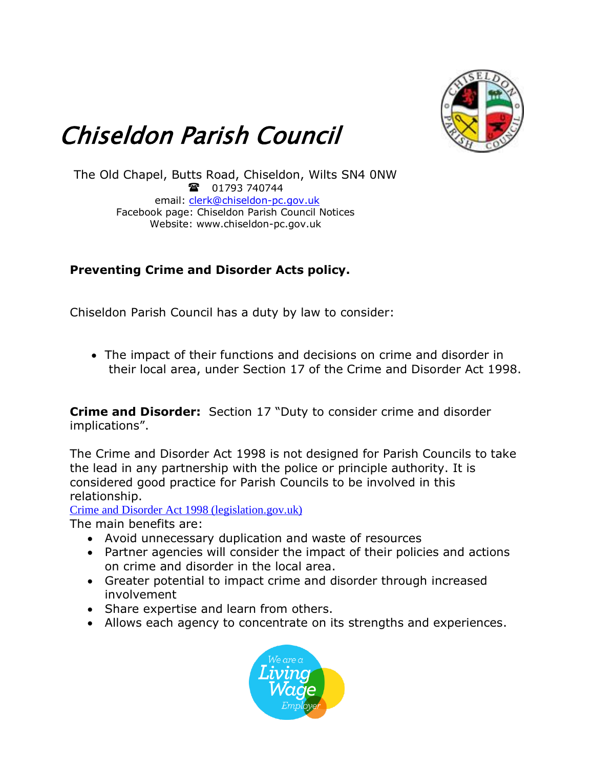

## Chiseldon Parish Council

The Old Chapel, Butts Road, Chiseldon, Wilts SN4 0NW 1793 740744 email: [clerk@chiseldon-pc.gov.uk](mailto:clerk@chiseldon-pc.gov.uk) Facebook page: Chiseldon Parish Council Notices Website: www.chiseldon-pc.gov.uk

## **Preventing Crime and Disorder Acts policy.**

Chiseldon Parish Council has a duty by law to consider:

• The impact of their functions and decisions on crime and disorder in their local area, under Section 17 of the Crime and Disorder Act 1998.

**Crime and Disorder:** Section 17 "Duty to consider crime and disorder implications".

The Crime and Disorder Act 1998 is not designed for Parish Councils to take the lead in any partnership with the police or principle authority. It is considered good practice for Parish Councils to be involved in this relationship.

[Crime and Disorder Act 1998 \(legislation.gov.uk\)](https://www.legislation.gov.uk/ukpga/1998/37/contents)

The main benefits are:

- Avoid unnecessary duplication and waste of resources
- Partner agencies will consider the impact of their policies and actions on crime and disorder in the local area.
- Greater potential to impact crime and disorder through increased involvement
- Share expertise and learn from others.
- Allows each agency to concentrate on its strengths and experiences.